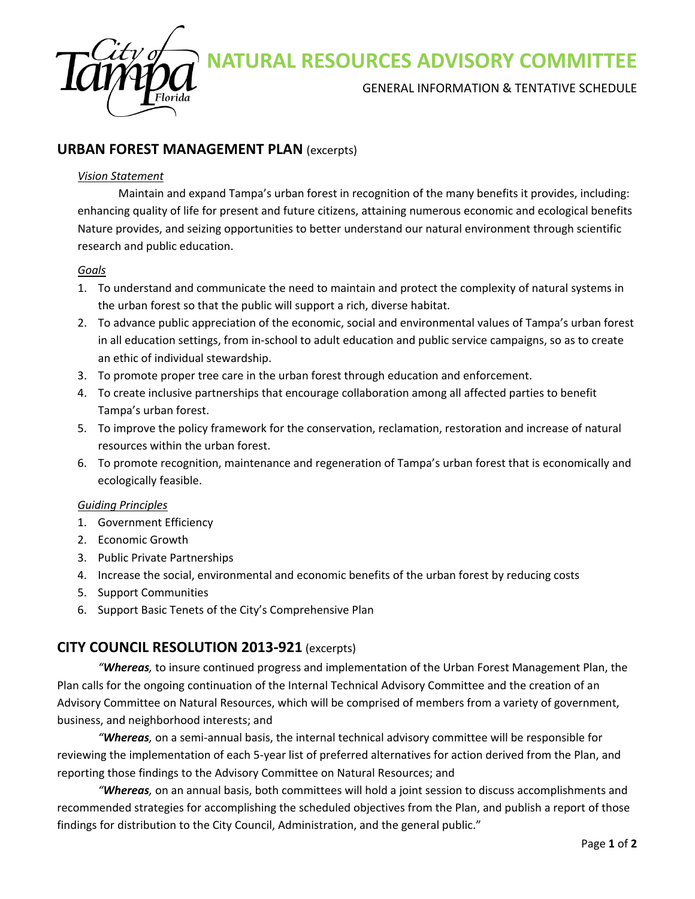

# **NATURAL RESOURCES ADVISORY COMMITTEE**

### GENERAL INFORMATION & TENTATIVE SCHEDULE

## **URBAN FOREST MANAGEMENT PLAN** (excerpts)

#### *Vision Statement*

 Maintain and expand Tampa's urban forest in recognition of the many benefits it provides, including: enhancing quality of life for present and future citizens, attaining numerous economic and ecological benefits Nature provides, and seizing opportunities to better understand our natural environment through scientific research and public education.

#### *Goals*

- 1. To understand and communicate the need to maintain and protect the complexity of natural systems in the urban forest so that the public will support a rich, diverse habitat.
- 2. To advance public appreciation of the economic, social and environmental values of Tampa's urban forest in all education settings, from in‐school to adult education and public service campaigns, so as to create an ethic of individual stewardship.
- 3. To promote proper tree care in the urban forest through education and enforcement.
- 4. To create inclusive partnerships that encourage collaboration among all affected parties to benefit Tampa's urban forest.
- 5. To improve the policy framework for the conservation, reclamation, restoration and increase of natural resources within the urban forest.
- 6. To promote recognition, maintenance and regeneration of Tampa's urban forest that is economically and ecologically feasible.

#### *Guiding Principles*

- 1. Government Efficiency
- 2. Economic Growth
- 3. Public Private Partnerships
- 4. Increase the social, environmental and economic benefits of the urban forest by reducing costs
- 5. Support Communities
- 6. Support Basic Tenets of the City's Comprehensive Plan

## **CITY COUNCIL RESOLUTION 2013‐921** (excerpts)

 *"Whereas,* to insure continued progress and implementation of the Urban Forest Management Plan, the Plan calls for the ongoing continuation of the Internal Technical Advisory Committee and the creation of an Advisory Committee on Natural Resources, which will be comprised of members from a variety of government, business, and neighborhood interests; and

 *"Whereas,* on a semi‐annual basis, the internal technical advisory committee will be responsible for reviewing the implementation of each 5‐year list of preferred alternatives for action derived from the Plan, and reporting those findings to the Advisory Committee on Natural Resources; and

 *"Whereas,* on an annual basis, both committees will hold a joint session to discuss accomplishments and recommended strategies for accomplishing the scheduled objectives from the Plan, and publish a report of those findings for distribution to the City Council, Administration, and the general public."